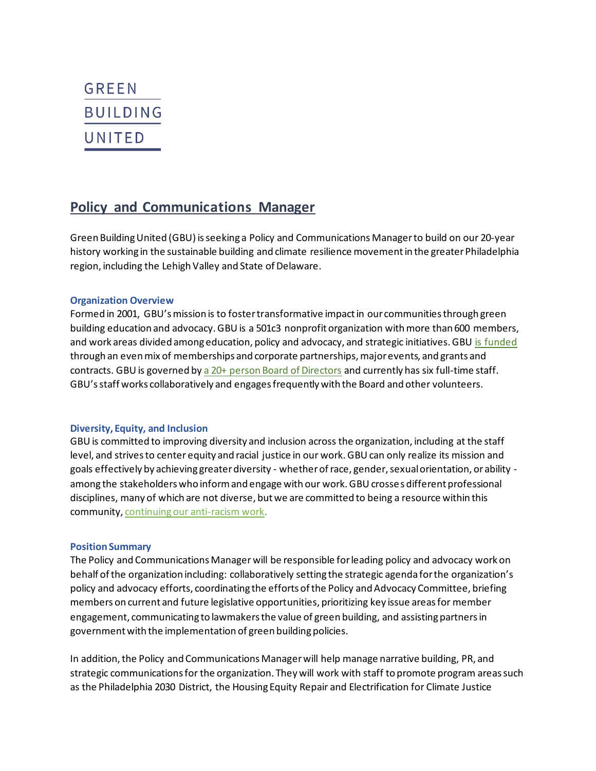# **GREEN BUILDING** UNITED

# **Policy and Communications Manager**

Green Building United (GBU) is seeking a Policy and Communications Managerto build on our 20-year history working in the sustainable building and climate resilience movement in the greater Philadelphia region, including the Lehigh Valley and State of Delaware.

#### **Organization Overview**

Formed in 2001, GBU's mission is to foster transformative impact in our communities through green building education and advocacy. GBU is a 501c3 nonprofit organization with more than 600 members, and work areas divided among education, policy and advocacy, and strategic initiatives. GBU is funded through an even mix of memberships and corporate partnerships, major events, and grants and contracts. GBU is governed by a 20+ person Board of Directors and currently has six full-time staff. GBU'sstaff works collaboratively and engages frequently with the Board and other volunteers.

#### **Diversity, Equity, and Inclusion**

GBU is committed to improving diversity and inclusion across the organization, including at the staff level, and strives to center equity and racial justice in our work. GBU can only realize its mission and goals effectively by achieving greater diversity - whether of race, gender, sexual orientation, or ability among the stakeholders who inform and engage with our work. GBU crosses different professional disciplines, many of which are not diverse, but we are committed to being a resource within this community, continuing our anti-racism work.

#### **Position Summary**

The Policy and Communications Manager will be responsible for leading policy and advocacy work on behalf of the organization including: collaboratively setting the strategic agenda for the organization's policy and advocacy efforts, coordinating the efforts of the Policy and Advocacy Committee, briefing members on current and future legislative opportunities, prioritizing key issue areas for member engagement, communicating to lawmakers the value of green building, and assisting partners in government with the implementation of green building policies.

In addition, the Policy and Communications Manager will help manage narrative building, PR, and strategic communications for the organization. They will work with staff to promote program areas such as the Philadelphia 2030 District, the Housing Equity Repair and Electrification for Climate Justice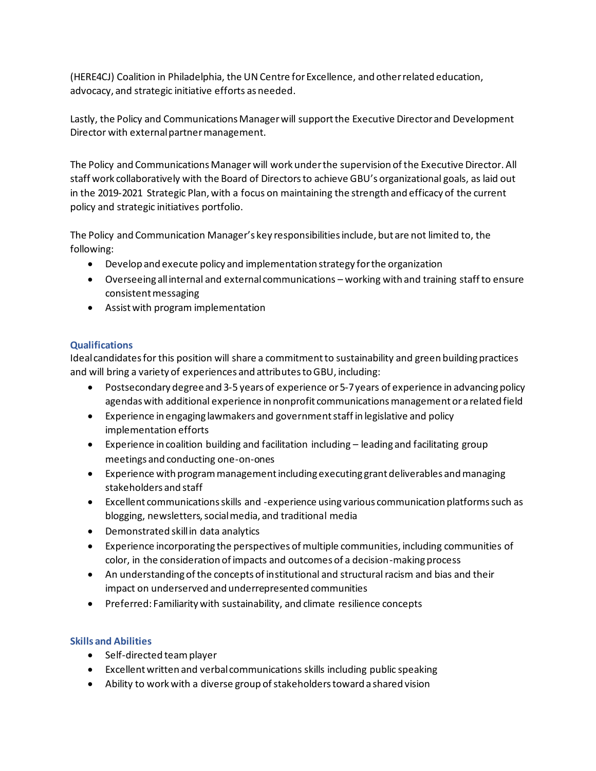(HERE4CJ) Coalition in Philadelphia, the UN Centre for Excellence, and other related education, advocacy, and strategic initiative efforts as needed.

Lastly, the Policy and Communications Manager will support the Executive Director and Development Director with external partner management.

The Policy and Communications Manager will work under the supervision of the Executive Director. All staff work collaboratively with the Board of Directors to achieve GBU's organizational goals, as laid out in the 2019-2021 Strategic Plan, with a focus on maintaining the strength and efficacy of the current policy and strategic initiatives portfolio.

The Policy and Communication Manager's key responsibilities include, but are not limited to, the following:

- Develop and execute policy and implementation strategy for the organization
- Overseeing all internal and external communications working with and training staff to ensure consistent messaging
- Assist with program implementation

## **Qualifications**

Ideal candidates for this position will share a commitment to sustainability and green building practices and will bring a variety of experiences and attributes to GBU, including:

- Postsecondary degree and 3-5 years of experience or 5-7 years of experience in advancing policy agendas with additional experience in nonprofit communications management or a related field
- Experience in engaging lawmakers and government staff in legislative and policy implementation efforts
- Experience in coalition building and facilitation including leading and facilitating group meetings and conducting one-on-ones
- Experience with program management including executing grant deliverables and managing stakeholders and staff
- Excellent communications skills and -experience using various communication platforms such as blogging, newsletters, social media, and traditional media
- Demonstrated skill in data analytics
- Experience incorporating the perspectives of multiple communities, including communities of color, in the consideration of impacts and outcomes of a decision-making process
- An understanding of the concepts of institutional and structural racism and bias and their impact on underserved and underrepresented communities
- Preferred: Familiarity with sustainability, and climate resilience concepts

## **Skills and Abilities**

- Self-directed team player
- Excellent written and verbal communications skills including public speaking
- Ability to work with a diverse group of stakeholders toward a shared vision